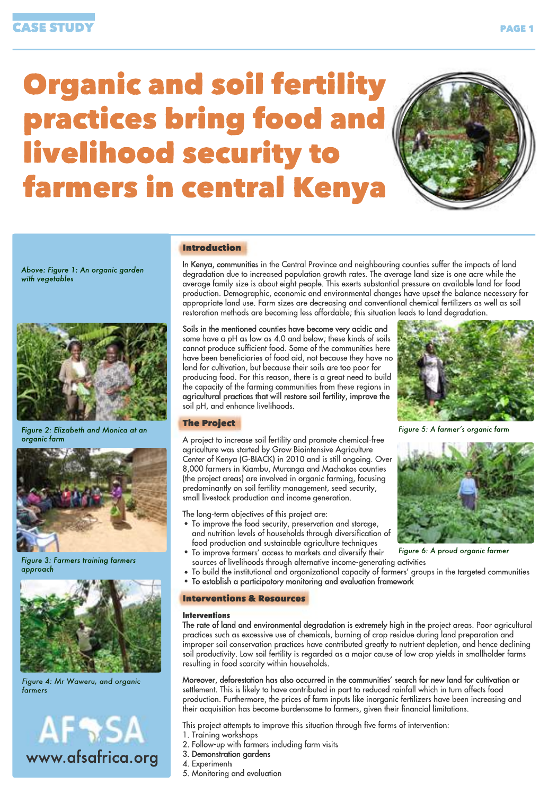# **Organic and soil fertility** practices bring food and livelihood security to farmers in central Kenya



*Above:Figure1:Anorganicgarden* with vegetables



*Figure2:ElizabethandMonicaatan* organic farm



**Figure 3: Farmers training farmers** *approach*



*Figure4:MrWaweru,andorganic farmers*

# **AFRSA** www.afsafrica.org

# Introduction

In Kenya, communities in the Central Province and neighbouring counties suffer the impacts of land degradation due to increased population growth rates. The average land size is one acre while the average family size is about eight people. This exerts substantial pressure on available land for food production. Demographic, economic and environmental changes have upset the balance necessary for appropriate land use. Farm sizes are decreasing and conventional chemical fertilizers as well as soil restoration methods are becoming less affordable; this situation leads to land degradation.

Soils in the mentioned counties have become very acidic and some have a pH as low as 4.0 and below; these kinds of soils cannot produce sufficient food. Some of the communities here have been beneficiaries of food aid, not because they have no land for cultivation, but because their soils are too poor for producing food. For this reason, there is a great need to build the capacity of the farming communities from these regions in agricultural practices that will restore soil fertility, improve the soil pH, and enhance livelihoods.



*Figure5:Afarmer'sorganicfarm*

# **The Project**

A project to increase soil fertility and promote chemical-free agriculture was started by Grow Biointensive Agriculture Center of Kenya (G-BIACK) in 2010 and is still ongoing. Over 8,000 farmers in Kiambu, Muranga and Machakos counties (the project areas) are involved in organic farming, focusing predominantly on soil fertility management, seed security, small livestock production and income generation.

The long-term objectives of this project are:

- To improve the food security, preservation and storage, and nutrition levels of households through diversification of food production and sustainable agriculture techniques •
- To improve farmers' access to markets and diversify their
- sources of livelihoods through alternative income-generating activities
- To build the institutional and organizational capacity of farmers' groups in the targeted communities •
- To establish a participatory monitoring and evaluation framework •

#### Interventions&Resources

#### **Interventions**

The rate of land and environmental degradation is extremely high in the project areas. Poor agricultural practices such as excessive use of chemicals, burning of crop residue during land preparation and improper soil conservation practices have contributed greatly to nutrient depletion, and hence declining soil productivity. Low soil fertility is regarded as a major cause of low crop yields in smallholder farms resulting in food scarcity within households.

Moreover, deforestation has also occurred in the communities' search for new land for cultivation or settlement. This is likely to have contributed in part to reduced rainfall which in turn affects food production. Furthermore, the prices of farm inputs like inorganic fertilizers have been increasing and their acquisition has become burdensome to farmers, given their financial limitations.

- This project attempts to improve this situation through five forms of intervention:
- 1. Training workshops
- 2. Follow-up with farmers including farm visits
- 3. Demonstration gardens
- 4.Experiments
- 5. Monitoring and evaluation

*Figure 6: A proud organic farmer*